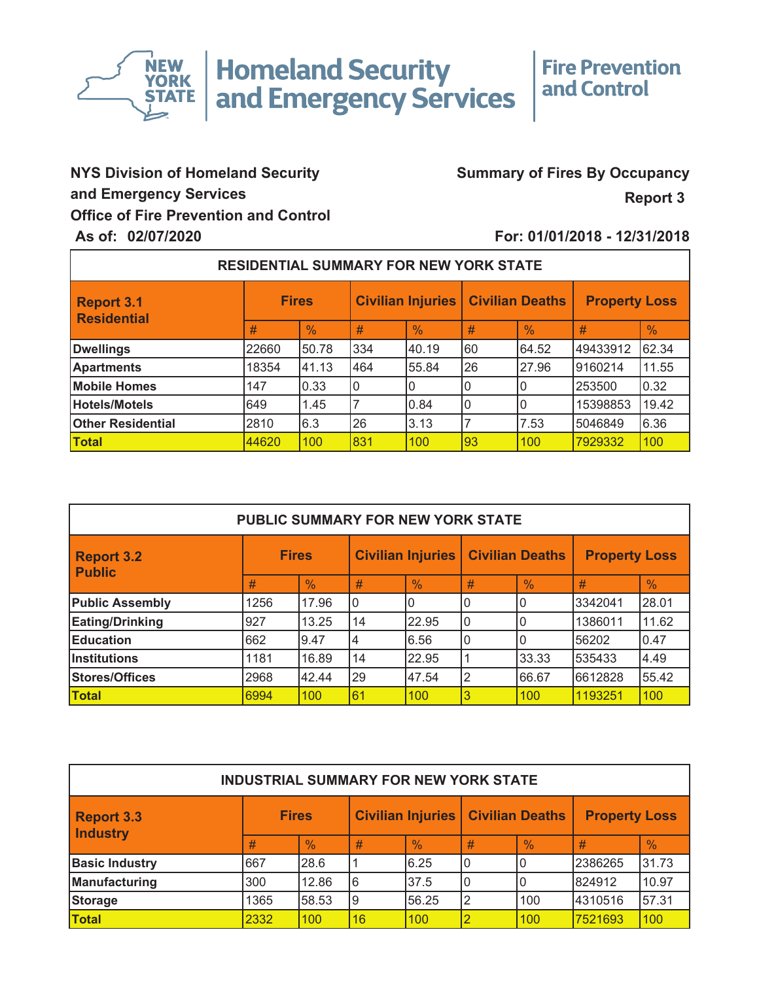

**Homeland Security<br>and Emergency Services** 

## **Fire Prevention** and Control

## **Office of Fire Prevention and Control and Emergency Services NYS Division of Homeland Security**

## **Summary of Fires By Occupancy**

**Report 3**

## **As of: 02/07/2020 For: 01/01/2018 - 12/31/2018**

| <b>RESIDENTIAL SUMMARY FOR NEW YORK STATE</b> |              |               |                          |               |                        |               |                      |               |  |  |
|-----------------------------------------------|--------------|---------------|--------------------------|---------------|------------------------|---------------|----------------------|---------------|--|--|
| Report 3.1<br>Residential                     | <b>Fires</b> |               | <b>Civilian Injuries</b> |               | <b>Civilian Deaths</b> |               | <b>Property Loss</b> |               |  |  |
|                                               | #            | $\frac{0}{0}$ | #                        | $\frac{0}{0}$ | #                      | $\frac{0}{0}$ | #                    | $\frac{0}{0}$ |  |  |
| <b>Dwellings</b>                              | 22660        | 50.78         | 334                      | 40.19         | 160                    | 64.52         | 49433912             | 62.34         |  |  |
| <b>Apartments</b>                             | 18354        | 41.13         | 464                      | 55.84         | 26                     | 27.96         | 9160214              | 11.55         |  |  |
| <b>Mobile Homes</b>                           | 147          | 0.33          | 0                        |               |                        |               | 253500               | 0.32          |  |  |
| Hotels/Motels                                 | 649          | 1.45          |                          | 0.84          |                        |               | 15398853             | 19.42         |  |  |
| <b>Other Residential</b>                      | 2810         | 6.3           | 26                       | 3.13          |                        | 7.53          | 5046849              | 6.36          |  |  |
| Total                                         | 44620        | 100           | 831                      | 100           | 93                     | 100           | 7929332              | 100           |  |  |
|                                               |              |               |                          |               |                        |               |                      |               |  |  |

| <b>PUBLIC SUMMARY FOR NEW YORK STATE</b> |              |               |                            |               |                        |               |                      |               |  |  |
|------------------------------------------|--------------|---------------|----------------------------|---------------|------------------------|---------------|----------------------|---------------|--|--|
| <b>Report 3.2</b><br><b>Public</b>       | <b>Fires</b> |               | <b>Civilian Injuries  </b> |               | <b>Civilian Deaths</b> |               | <b>Property Loss</b> |               |  |  |
|                                          | #            | $\frac{0}{0}$ | #                          | $\frac{0}{0}$ | #                      | $\frac{0}{0}$ | #                    | $\frac{0}{0}$ |  |  |
| <b>Public Assembly</b>                   | 1256         | 17.96         | l0                         | 0             |                        |               | 3342041              | 28.01         |  |  |
| <b>Eating/Drinking</b>                   | 927          | 13.25         | 14                         | 22.95         | $\mathbf{0}$           | 0             | 1386011              | 11.62         |  |  |
| <b>Education</b>                         | 662          | 9.47          | 4                          | 6.56          | $\mathbf{0}$           | 0             | 56202                | 10.47         |  |  |
| <b>Institutions</b>                      | 1181         | 16.89         | 14                         | 22.95         |                        | 33.33         | 535433               | 4.49          |  |  |
| Stores/Offices                           | 2968         | 42.44         | 29                         | 47.54         | $^{\prime}2$           | 66.67         | 6612828              | 55.42         |  |  |
| <b>Total</b>                             | 6994         | 100           | 61                         | 100           | l3                     | 100           | 1193251              | 100           |  |  |
|                                          |              |               |                            |               |                        |               |                      |               |  |  |

| <b>INDUSTRIAL SUMMARY FOR NEW YORK STATE</b> |              |               |                   |               |                        |               |                      |               |  |  |
|----------------------------------------------|--------------|---------------|-------------------|---------------|------------------------|---------------|----------------------|---------------|--|--|
| <b>Report 3.3</b><br><b>Industry</b>         | <b>Fires</b> |               | Civilian Injuries |               | <b>Civilian Deaths</b> |               | <b>Property Loss</b> |               |  |  |
|                                              | #            | $\frac{1}{2}$ | #                 | $\frac{0}{0}$ | #                      | $\frac{9}{6}$ | #                    | $\frac{1}{2}$ |  |  |
| <b>Basic Industry</b>                        | 667          | 28.6          |                   | 6.25          | l0                     |               | 2386265              | 31.73         |  |  |
| Manufacturing                                | 300          | 12.86         | l6                | 37.5          |                        |               | 824912               | 10.97         |  |  |
| Storage                                      | 1365         | 58.53         | l9                | 56.25         | 12                     | 100           | 4310516              | 57.31         |  |  |
| <b>Total</b>                                 | 2332         | 100           | 16                | 100           |                        | 100           | 7521693              | 100           |  |  |